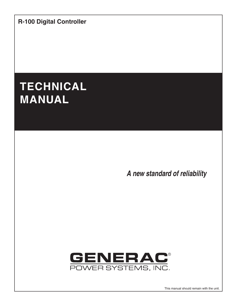**R-100 Digital Controller**

# **TECHNICAL MANUAL**

*A new standard of reliability*



This manual should remain with the unit.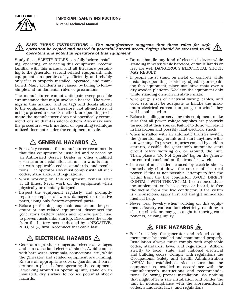

#### *SAVE THESE INSTRUCTIONS – The manufacturer suggests that these rules for safe operation be copied and posted in potential hazard areas. Safety should be stressed to all operators and potential operators of this equipment.*  $\triangle$

Study these SAFETY RULES carefully before installing, operating, or servicing this equipment. Become familiar with this manual and all literature pertaining to the generator set and related equipment. This equipment can operate safely, efficiently, and reliably only if it is properly installed, operated, and maintained. Many accidents are caused by failing to follow simple and fundamental rules or precautions.

The manufacturer cannot anticipate every possible circumstance that might involve a hazard. The warnings in this manual, and on tags and decals affixed to the equipment, are, therefore, not all-inclusive. If using a procedure, work method, or operating technique the manufacturer does not specifically recommend, ensure that it is safe for others. Also make sure the procedure, work method, or operating technique utilized does not render the equipment unsafe.

## **A GENERAL HAZARDS A**

- For safety reasons, the manufacturer recommends that this equipment be installed and serviced by an Authorized Service Dealer or other qualified electrician or installation technician who is familiar with applicable codes, standards, and regulations. The operator also must comply with all such codes, standards, and regulations.
- When working on this equipment, remain alert at all times. Never work on the equipment when physically or mentally fatigued.
- Inspect the equipment regularly, and promptly repair or replace all worn, damaged or defective parts, using only factory-approved parts.
- Before performing any maintenance on the generator or any related equipment, disconnect the generator's battery cables and remove panel fuse to prevent accidental startup. Disconnect the cable from the battery post, indicated by a NEGATIVE, NEG, or (–) first. Reconnect that cable last.

# **ELECTRICAL HAZARDS**

• Generators produce dangerous electrical voltages and can cause fatal electrical shock. Avoid contact with bare wires, terminals, connections, etc., while the generator and related equipment are running. Ensure all appropriate covers, guards, and barriers are in place before operating the equipment. If working around an operating unit, stand on an insulated, dry surface to reduce potential shock hazards.

- Do not handle any kind of electrical device while standing in water, while barefoot, or while hands or feet are wet. DANGEROUS ELECTRICAL SHOCK MAY RESULT.
- If people must stand on metal or concrete while installing, operating, servicing, adjusting, or repairing this equipment, place insulative mats over a dry wooden platform. Work on the equipment only while standing on such insulative mats.
- Wire gauge sizes of electrical wiring, cables, and cord sets must be adequate to handle the maximum electrical current (amperage) to which they will be subjected to.
- Before installing or servicing this equipment, make sure that all power voltage supplies are positively turned off at their source. Failure to do so will result in hazardous and possibly fatal electrical shock.
- When installed with an automatic transfer switch, the generator may crank and start anytime, without warning. To prevent injuries caused by sudden start-up, disable the generator's automatic start circuit before working on, or around, the unit. Then, place a "Do Not Operate" tag on the generator control panel and on the transfer switch.
- In case of an accident caused by electric shock, immediately shut down the source of electrical power. If this is not possible, attempt to free the victim from the live conductor. AVOID DIRECT CONTACT WITH THE VICTIM. Use a nonconducting implement, such as, a rope or board, to free the victim from the live conductor. If the victim is unconscious, apply first aid and get immediate medical help.
- Never wear jewelry when working on this equipment. Jewelry can conduct electricity, resulting in electric shock, or may get caught in moving components, causing injury.

# *A* FIRE HAZARDS A

• For fire safety, the generator and related equipment must be installed and maintained properly. Installation always must comply with applicable codes, standards, laws, and regulations. Adhere strictly to local, state, and national electrical and building codes. Comply with regulations the Occupational Safety and Health Administration (OSHA) has established. Also, ensure that the equipment is installed in accordance with the manufacturer's instructions and recommendations. Following proper installation, do nothing that might alter a safe installation and render the unit in noncompliance with the aforementioned codes, standards, laws, and regulations.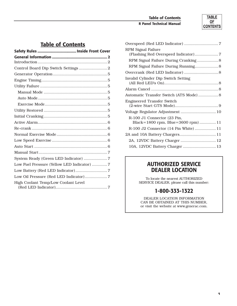#### **Table of Contents R Panel Technical Manual**



### **Table of Contents**

| Control Board Dip Switch Settings  2        |  |
|---------------------------------------------|--|
|                                             |  |
|                                             |  |
|                                             |  |
|                                             |  |
|                                             |  |
|                                             |  |
|                                             |  |
|                                             |  |
|                                             |  |
|                                             |  |
|                                             |  |
|                                             |  |
|                                             |  |
|                                             |  |
| System Ready (Green LED Indicator) 7        |  |
| Low Fuel Pressure (Yellow LED Indicator)  7 |  |
|                                             |  |
| Low Oil Pressure (Red LED Indicator)7       |  |
| High Coolant Temp/Low Coolant Level         |  |
|                                             |  |

| <b>RPM Signal Failure</b><br>(Flashing Red Overspeed Indicator) 7 |  |
|-------------------------------------------------------------------|--|
| RPM Signal Failure During Cranking 8                              |  |
| RPM Signal Failure During Running 8                               |  |
|                                                                   |  |
| Invalid Cylinder Dip Switch Setting                               |  |
|                                                                   |  |
| Automatic Transfer Switch (ATS Mode) 8                            |  |
| <b>Engineered Transfer Switch</b>                                 |  |
| Voltage Regulator Adjustment  10                                  |  |
| R-100 J1 Connector (23 Pin,<br>Black=1800 rpm, Blue=3600 rpm) 11  |  |
| R-100 J2 Connector (14 Pin White)  11                             |  |
| 2A and 10A Battery Chargers 11                                    |  |
| 2A, 12VDC Battery Charger  12                                     |  |
| 10A, 12VDC Battery Charger  13                                    |  |
|                                                                   |  |

### **AUTHORIZED SERVICE DEALER LOCATION**

To locate the nearest AUTHORIZED SERVICE DEALER, please call this number:

### **1-800-333-1322**

DEALER LOCATION INFORMATION CAN BE OBTAINED AT THIS NUMBER, or visit the website at www.generac.com.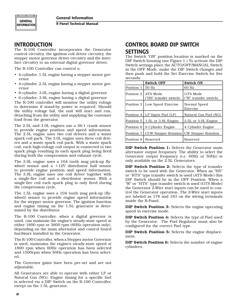

**R Panel Technical Manual**

#### **INTRODUCTION**

The R-100 Controller incorporates the Generator control circuitry, the ignition coil driver circuitry, the stepper motor governor driver circuitry and the interface circuitry to an external digital governor driver.

The R-100 Controller can control a:

- 4-cylinder, 1.5L engine having a stepper motor governor
- 4-cylinder, 2.5L engine having a stepper motor governor
- 6-cylinder, 3.0L engine having a digital governor

• 6-cylinder, 3.9L engine having a digital governor The R-100 controller will monitor the utility voltage to determine if stand-by power is required. Should the utility voltage fail, the unit will start and run, detaching from the utility and supplying the customer load from the generator.

The 2.5L and 3.0L engines use a 36-1 crank sensor to provide engine position and speed information. The 2.5L engine uses two coil drivers and a waste spark coil pack. The 3.0L engine uses three coil drivers and a waste spark coil pack. With a waste spark coil, each high-voltage coil output is connected to two spark plugs resulting in each spark plug being fired during both the compression and exhaust cycle.

The 3.9L engine uses a 164 tooth mag pick-up flywheel sensor and a +12V distributor hall sensor to provide engine position and speed information. The 3.9L engine uses one coil driver together with a single-fire coil and a distributor sensor. With a single-fire coil each spark plug is only fired during the compression cycle.

The 1.5L engine uses a 104 tooth mag pick-up (flywheel) sensor to provide engine speed information for the stepper motor governor. The ignition function and engine timing on the 1.5L generator is determined by the distributor.

The R-100 Controller, when a digital governor is used, can maintain the engine's steady-state speed at either 1800 rpm or 3600 rpm (60Hz operation only), depending on the main alternator and control board hardware installed in the Generator.

The R-100 Controller, when a Stepper motor Governor is used, maintains the engine's steady-state speed at 1800 rpm when 60Hz operation has been selected and 1500rpm when 50Hz operation has been selected.

The Governor gains have been pre-set and are not adjustable.

All Generators are able to operate with either LP or Natural Gas (NG). Engine timing for a specific fuel is selected via a DIP Switch on the R-100 Controller, except on the 1.5L generator.

### **CONTROL BOARD DIP SWITCH SETTINGS**

The Switch "ON" position location is marked on the DIP Switch housing (see Figure 1.) To activate the DIP Switch settings place the AUTO/OFF/MANUAL Switch in the OFF Mode, make the DIP Switch changes and then push and hold the Set Exercise Switch for five seconds.

|            | <b>Switch OFF</b>                          | <b>Switch ON</b>                  |
|------------|--------------------------------------------|-----------------------------------|
| Position 1 | $50$ Hz                                    | 60 Hz                             |
| Position 2 | ATS Mode<br>("HS" transfer switch)         | GTS Mode<br>("W" transfer switch) |
| Position 3 | <b>Low Speed Exercise</b>                  | Normal Speed<br><b>Exercise</b>   |
|            | Position 4   LP Vapor Fuel (LP)            | Natural Gas Fuel (NG)             |
|            | Position $5 \mid 1.5L$ or 3.9L Engine      | 2.5L or 3.0L Engine               |
| Position 6 | 6 Cylinder Engine                          | 4 Cylinder Engine                 |
| Position 7 | CCW Stepper Rotation   CW Stepper Rotation |                                   |
| Position 8 | Reserved                                   | Reserved                          |

DIP Switch Position 1: Selects the Generator main alternator output frequency. The ability to select the Generator output frequency (i.e. 60Hz or 50Hz) is only available on the 2.5L Generators.

DIP Switch Position 2: Selects the type of transfer switch to be used with the Generator. When an "HS" or "RTS" type transfer switch is used (ATS Mode) this DIP Switch should be in the OFF Position. When a "W" or "HTS" type transfer switch is used (GTS Mode) the Generator 2-Wire start inputs can be used to control the Generator operation. The 2-Wire start inputs are labeled as 178 and 183 on the wiring terminals inside the R-Panel.

DIP Switch Position 3: Selects the engine operating speed in exercise mode.

DIP Switch Position 4: Selects the type of Fuel used by the Generator. The Fuel Regulator must also be configured for the correct Fuel type.

DIP Switch Position 5: Selects the engine displacement.

DIP Switch Position 6: Selects the number of engine cylinders.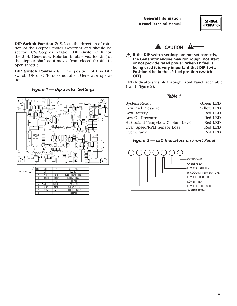DIP Switch Position 7: Selects the direction of rotation of the Stepper motor Governor and should be set for CCW Stepper rotation (DIP Switch OFF) for the 2.5L Generator. Rotation is observed looking at the stepper shaft as it moves from closed throttle to open throttle.

DIP Switch Position 8: The position of this DIP switch (ON or OFF) does not affect Generator operation.

*Figure 1 — Dip Switch Settings*





**11** If the DIP switch settings are not set correctly, **the Generator engine may run rough, not start or not provide rated power. When LP fuel is being used it is very important that DIP Switch Position 4 be in the LP fuel position (switch OFF).**

LED Indicators visible through Front Panel (see Table 1 and Figure 2).

*Table 1*

| <b>System Ready</b>               | Green LED         |
|-----------------------------------|-------------------|
| Low Fuel Pressure                 | <b>Yellow LED</b> |
| Low Battery                       | Red LED           |
| Low Oil Pressure                  | Red LED           |
| Hi Coolant Temp/Low Coolant Level | Red LED           |
| Over Speed/RPM Sensor Loss        | Red LED           |
| Over Crank                        | Red LED           |
|                                   |                   |

#### *Figure 2 — LED Indicators on Front Panel*

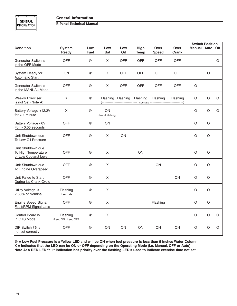#### **General Information**

#### **R Panel Technical Manual**

|                                                                   |                                 |                    |                      |            |                            |                      |                      | <b>Switch Position</b> |         |   |
|-------------------------------------------------------------------|---------------------------------|--------------------|----------------------|------------|----------------------------|----------------------|----------------------|------------------------|---------|---|
| <b>Condition</b>                                                  | <b>System</b><br>Ready          | Low<br><b>Fuel</b> | Low<br><b>Bat</b>    | Low<br>Oil | High<br><b>Temp</b>        | Over<br><b>Speed</b> | Over<br><b>Crank</b> | <b>Manual Auto Off</b> |         |   |
| Generator Switch is<br>in the OFF Mode                            | <b>OFF</b>                      | @                  | X                    | <b>OFF</b> | <b>OFF</b>                 | <b>OFF</b>           | OFF                  |                        |         | O |
| System Ready for<br><b>Automatic Start</b>                        | ON                              | @                  | $\mathsf X$          | OFF        | <b>OFF</b>                 | OFF                  | OFF                  |                        | O       |   |
| Generator Switch is<br>in the MANUAL Mode                         | <b>OFF</b>                      | @                  | $\times$             | <b>OFF</b> | <b>OFF</b>                 | OFF                  | OFF                  | O                      |         |   |
| <b>Weekly Exerciser</b><br>is not Set (Note A)                    | X                               | @                  |                      |            | Flashing Flashing Flashing | Flashing             | Flashing             | O                      | $\circ$ | O |
| Battery Voltage <12.2V<br>for $> 1$ minute                        | X                               | $^{\circledR}$     | ON<br>(Non-Latching) |            |                            |                      |                      | O                      | $\circ$ | O |
| Battery Voltage <6V<br>For $> 0.05$ seconds                       | <b>OFF</b>                      | $^{\circledR}$     | ON                   |            |                            |                      |                      | O                      | O       |   |
| Unit Shutdown due<br>To Low Oil Pressure                          | <b>OFF</b>                      | @                  | X                    | ON         |                            |                      |                      | $\circ$                | $\circ$ |   |
| Unit Shutdown due<br>To High Temperature<br>or Low Coolan.t Level | <b>OFF</b>                      | $^{\circledR}$     | X                    |            | ON                         |                      |                      | $\circ$                | O       |   |
| Unit Shutdown due<br>To Engine Overspeed                          | <b>OFF</b>                      | @                  | $\times$             |            |                            | ON                   |                      | $\circ$                | O       |   |
| Unit Failed to Start<br>During it's Crank Cycle                   | <b>OFF</b>                      | @                  | X                    |            |                            |                      | ON                   | $\circ$                | $\circ$ |   |
| Utility Voltage is<br>< 60% of Nominal                            | Flashing<br>1 sec rate          | @                  | $\mathsf{X}$         |            |                            |                      |                      | $\circ$                | O       |   |
| <b>Engine Speed Signal</b><br>Fault/RPM Signal Loss               | <b>OFF</b>                      | @                  | X                    |            |                            | Flashing             |                      | O                      | $\circ$ |   |
| Control Board is<br>In GTS Mode                                   | Flashing<br>5 sec ON, 1 sec OFF | @                  | X                    |            |                            |                      |                      | O                      | $\circ$ | O |
| DIP Switch #6 is<br>not set correctly                             | <b>OFF</b>                      | $^{\circledR}$     | ON                   | ON         | ON                         | ON                   | ON                   | O                      | O       | O |

**@ = Low Fuel Pressure is a Yellow LED and will be ON when fuel pressure is less than 5 inches Water Column X = indicates that the LED can be ON or OFF depending on the Operating Mode (i.e. Manual, OFF or Auto) Note A: a RED LED fault indication has priority over the flashing LED's used to indicate exercise time not set**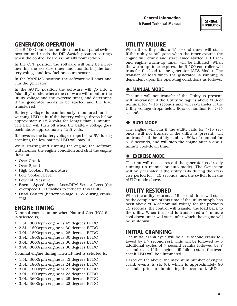### **GENERAL INFORMATION**

#### **GENERATOR OPERATION**

The R-100 Controller monitors the front panel switch position and reads the DIP Switch position settings when the control board is initially powered-up.

In the OFF position the software will only be incrementing the exercise timer and monitoring the battery voltage and low fuel pressure sensor.

In the MANUAL position the software will start and run the generator.

In the AUTO position the software will go into a "standby" mode, where the software will monitor the utility voltage and the exercise timer, and determine if the generator needs to be started and the load transferred.

Battery voltage is continuously monitored and a warning LED is lit if the battery voltage drops below approximately 12.2 volts for longer than 1 minute. The LED will turn off when the battery voltage goes back above approximately 12.5 volts.

If, however, the battery voltage drops below 6V during cranking the low battery LED will stay lit.

While starting and running the engine, the software will monitor the engine condition and shut the engine down on;

- Over Crank
- Over Speed
- High Coolant Temperature
- Low Coolant Level
- Low Oil Pressure
- Engine Speed Signal Loss/RPM Sensor Loss (the overspeed LED flashes to indicate this fault)
- Dead Battery (battery voltage < 6V during cranking)

### **ENGINE TIMING**

Nominal engine timing when Natural Gas (NG) fuel is selected is;

- 1.5L, 3600rpm engine is 43 degrees BTDC
- 2.5L, 1800rpm engine is 30 degrees BTDC
- 3.0L, 1800rpm engine is 28 degrees BTDC
- 3.9L, 1800rpm engine is 30 degrees BTDC
- 3.0L, 3600rpm engine is 36 degrees BTDC
- 3.9L, 3600rpm engine is 36 degrees BTDC

Nominal engine timing when LP fuel is selected is;

- 1.5L, 3600rpm engine is 43 degrees BTDC
- 2.5L, 1800rpm engine is 24 degrees BTDC
- 3.0L, 1800rpm engine is 21 degrees BTDC
- 3.9L, 1800rpm engine is 23 degrees BTDC
- 3.0L, 3600rpm engine is 25 degrees BTDC
- 3.9L, 3600rpm engine is 22 degrees BTDC

#### **UTILITY FAILURE**

When the utility fails, a 15 second timer will start. If the utility is still gone when the timer expires the engine will crank and start. Once started a 10 second engine warm-up timer will be initiated. When the warm-up timer expires, the R-100 controller will transfer the load to the generator (ATS Mode). The transfer of load when the generator is running is dependent upon the operating conditions as follows:

#### ◆ MANUAL MODE

The unit will not transfer if the Utility is present, will un-transfer if the Utility voltage is above 80% of nominal for > 15 seconds and will re-transfer if the Utility voltage drops below 60% of nominal for >15 seconds.

#### ◆ AUTO MODE

The engine will run if the utility fails for  $>15$  seconds, will not transfer if the utility is present, will un-transfer if the utility is above 80% of nominal for >15 seconds, and will stop the engine after a one 1 minute cool-down time.

#### **EXERCISE MODE**

The unit will not exercise if the generator is already running (in manual or auto mode). The Generator will only transfer if the utility fails during the exercise period for >15 seconds, and the switch is in the AUTO mode above.

#### **UTILITY RESTORED**

When the utility returns, a 15 second timer will start. At the completion of this time, if the utility supply has been above 80% of nominal voltage for the previous 15 seconds, the control will transfer the load back to the utility. When the load is transferred a 1 minute cool down timer will start, after which the engine will be shutdown.

#### **INITIAL CRANKING**

The initial crank cycle will be a 15 second crank followed by a 7 second rest. This will be followed by 5 additional cycles of 7 second cranks followed by 7 second rests. If the engine still fails to start, the overcrank LED will be illuminated.

Based on the above, the maximum number of engine crank events is six (6), which is approximately 90 seconds, prior to illuminating the overcrank LED.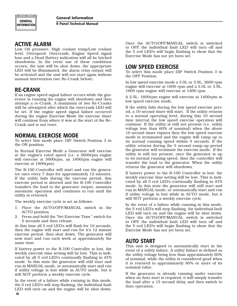#### **ACTIVE ALARM**

Low Oil pressure, High coolant temp/Low coolant level, Overspeed, Overcrank, Engine Speed signal loss and a Dead Battery indication will all be latched shutdowns. In the event one of these conditions occurs, the unit will be shut down, the appropriate LED will be illuminated, the alarm relay output will be activated and the unit will not start again without manual intervention (see Re-Crank below).

### **RE-CRANK**

If an engine speed signal failure occurs while the generator is running the engine will shutdown and then attempt a re-Crank. A maximum of two Re-Cranks will be attempted after which the overcrank LED will be set. If the engine speed signal failure occurred during the engine Exercise Mode the exercise timer will continue from where it was at the start of the Re-Crank and is not reset.

#### **NORMAL EXERCISE MODE**

To select this mode place DIP Switch Position 3 in the ON position

In Normal Exercise Mode a Generator will exercise at the engine's rated speed (i.e. a 3600rpm engine will exercise at 3600rpm, an 1800rpm engine will exercise at 1800rpm).

The R-100 Controller will start and run the generator once every 7 days for approximately 12 minutes. If the utility fails during the exercise period, this exercise period is aborted and the R-100 Controller transfers the load to the generator output, assumes automatic operation and continues to run until the utility is returned.

The weekly exercise cycle is set as follows:

- 1. Place the AUTO/OFF/MANUAL switch in the AUTO position
- 2. Press and hold the "Set Exercise Time " switch for 5 seconds and then release.

At this time all 5 red LED's will flash for 10 seconds, then the engine will start and run for it's 12 minute exercise period, then shut down. The generator will now start and run each week at approximately the same time.

If battery power to the R-100 Controller is lost, the weekly exercise time setting will be lost. This is indicated by all 5 red LED's continually flashing in ATS mode. In this state the generator will still start and run in MANUAL mode, or automatically start and run if utility voltage is lost while in AUTO mode, but it will NOT perform a weekly exercise cycle.

In the event of a failure while running in this mode, the 5 red LED's will stop flashing, the individual fault LED will turn on and the engine will be shut down. Once the AUTO/OFF/MANUAL switch is switched to OFF, the individual fault LED will turn off and the 5 red LED's will begin flashing to show that the Exercise Mode has not yet been set.

#### **LOW SPEED EXERCISE**

To select this mode place DIP Switch Position 3 in the OFF Position.

In low speed exercise mode a 3.0L or 3.9L, 3600 rpm engine will exercise at 1800 rpm and a 3.0L or 3.9L, 1800 rpm engine will exercise at 1400 rpm.

A 2.5L, 1800rpm engine will exercise at 1400rpm in low speed exercise mode.

If the utility fails during the low speed exercise period, a 10 second timer will start. If the utility returns to a normal operating level, during this 10 second time interval the low speed exercise operation will continue. If the utility is still not present (i.e. utility voltage less than 60% of nominal) when the above 10 second timer expires then the low speed exercise mode is terminated and the engine will ramp up to its normal running speed within 5 seconds. If the utility returns during the 5 second ramp-up period the generator will terminate the exercise mode. If the utility is still not present, once the generator is up to its normal running speed, then the controller will transfer the load to the generator. When the utility returns the generator will shutdown.

If battery power to the R-100 Controller is lost, the weekly exercise time setting will be lost. This is indicated by all 5 red LED's continually flashing in ATS mode. In this state the generator will still start and run in MANUAL mode, or automatically start and run if utility voltage is lost while in AUTO mode, but it will NOT perform a weekly exercise cycle.

In the event of a failure while running in this mode, the 5 red LED's will stop flashing, the individual fault LED will turn on and the engine will be shut down. Once the AUTO/OFF/MANUAL switch is switched to OFF, the individual fault LED will turn off and the 5 red LED's will begin flashing to show that the Exercise Mode has not yet been set.

#### **AUTO START**

This unit is designed to automatically start in the event of a utility failure. A utility failure is defined as the utility voltage being less than approximately 60% of nominal, while the utility is considered good when it is restored to approximately 80% or more of its nominal value.

If the generator is already running under exercise when an Auto start is required, it will simply transfer the load after a 15 second delay and then switch to Auto operation.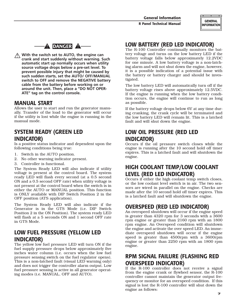



 **With the switch set to AUTO, the engine can crank and start suddenly without warning. Such automatic start up normally occurs when utility source voltage drops below a pre-set level. To prevent possible injury that might be caused by such sudden starts, set the AUTO/ OFF/MANUAL switch to OFF and remove the NEGATIVE battery cable from the battery before working on or around the unit. Then, place a "DO NOT OPER-ATE" tag on the control console.**

#### **MANUAL START**

Allows the user to start and run the generator manually. Transfer of the load to the generator will occur if the utility is lost while the engine is running in the manual mode.

### **SYSTEM READY (GREEN LED INDICATOR)**

Is a positive status indicator and dependent upon the following conditions being true:

- 1. Switch in the AUTO position.
- 2. No other warning indicator present.
- 3. Controller is functional.

The System Ready LED will also indicate if utility voltage is present at the control board. The system ready LED will flash every second (at a 0.5 second ON and a 0.5 second OFF rate) when utility voltage is not present at the control board when the switch is in either the AUTO or MANUAL position. This function is ONLY available with DIP Switch Position 2 in the OFF position (ATS application).

The System Ready LED will also indicate if the Generator is in the GTS Mode (i.e. DIP Switch Position 2 in the ON Position). The system ready LED will flash at a 5 seconds ON and 1 second OFF rate in GTS Mode.

### **LOW FUEL PRESSURE (YELLOW LED INDICATOR)**

The yellow low fuel pressure LED will turn ON if the fuel supply pressure drops below approximately five inches water column (i.e. occurs when the low fuel pressure sensing switch on the fuel regulator opens). This is a non-latched fault (visual LED warning only) and does not trigger the controller alarm output. Low fuel pressure sensing is active in all generator operating modes (i.e. MANUAL, OFF and AUTO).

### **LOW BATTERY (RED LED INDICATOR)**

The R-100 Controller continually monitors the battery voltage and turns on the low battery LED if the battery voltage falls below approximately 12.2VDC for one minute. A low battery voltage is a non-latching alarm and will not shut down the engine, however, it is a possible indication of a potential issue with the battery or battery charger and should be investigated.

The low battery LED will automatically turn off if the battery voltage rises above approximately 12.5VDC. If the engine is running when the low battery condition occurs, the engine will continue to run as long as possible.

If the battery voltage drops below 6V at any time during cranking, the crank cycle will be terminated and the low battery LED will remain lit. This is a latched fault and will shut down the engine.

### **LOW OIL PRESSURE (RED LED INDICATOR)**

Occurs if the oil pressure switch closes while the engine is running after the 10 second hold off timer expires. This is a latched fault and will shutdown the engine.

### **HIGH COOLANT TEMP/LOW COOLANT LEVEL (RED LED INDICATOR)**

Occurs if either the high coolant temp switch closes, or the low coolant level switch is in air. The two sensors are wired in parallel on the engine. Checks are made after the 10 second hold off timer expires. This is a latched fault and will shutdown the engine.

### **OVERSPEED (RED LED INDICATOR)**

An overspeed shutdown will occur if the engine speed is greater than 4320 rpm for 3 seconds with a 3600 rpm engine or greater than 2160 rpm with an 1800 rpm engine. An Overspeed condition will shutdown the engine and activate the over speed LED. An immediate overspeed shutdown will occur if the engine speed is greater than 4500rpm with a 3600rpm engine or greater than 2250 rpm with an 1800 rpm engine.

### **RPM SIGNAL FAILURE (FLASHING RED OVERSPEED INDICATOR)**

If the R-100 controller does not receive a signal from the engine crank or flywheel sensor, the R-100 controller cannot maintain the generator output frequency or monitor for an overspeed condition. If this signal is lost the R-100 controller will shut down the engine as follows: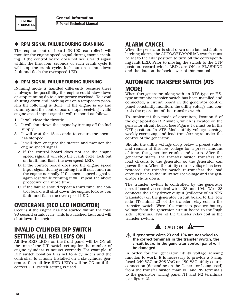**R Panel Technical Manual**

#### **RPM SIGNAL FAILURE DURING CRANKING**

The engine control board (R-100 controller) will monitor the engine speed signal during engine cranking. If the control board does not see a valid signal within the first four seconds of each crank cycle it will stop the crank cycle, lock out on a shut down fault and flash the overspeed LED.

#### **RPM SIGNAL FAILURE DURING RUNNING**

Running mode is handled differently because there is always the possibility the engine could slow down or stop running do to a temporary overload. To avoid shutting down and latching out on a temporary problem the following is done. If the engine is up and running, and the control board stops receiving a valid engine speed input signal it will respond as follows:

- 1. It will close the throttle
- 2. It will shut down the engine by turning off the fuel supply
- 3. It will wait for 15 seconds to ensure the engine has stopped
- 4. It will then energize the starter and monitor the engine speed signal
	- A. If the control board does not see the engine speed signal it will stop the crank cycle, lock out on fault, and flash the overspeed LED.
	- B. If the control board does see the engine speed input signal during cranking it will start and run the engine normally. If the engine speed signal is again lost while running it will repeat the above procedure one more time.
	- C. If the failure should repeat a third time, the control board will shut down the engine, lock out on fault, and flash the over speed LED.

### **OVERCRANK (RED LED INDICATOR)**

Occurs if the engine has not started within the total 90 second crank cycle. This is a latched fault and will shutdown the engine.

### **INVALID CYLINDER DIP SWITCH SETTING (ALL RED LED'S ON)**

All five RED LED's on the front panel will be ON all the time if the DIP switch setting for the number of engine cylinders is not set correctly. For example, if DIP switch position 6 is set to 4 cylinders and the controller is actually installed on a six-cylinder generator, then all five RED LED's will be ON until the correct DIP switch setting is used.

### **ALARM CANCEL**

When the generator is shut down on a latched fault or latching alarm, the AUTO/OFF/MANUAL switch must be set to the OFF position to turn off the corresponding fault LED. Prior to moving the switch to the OFF position, record which LEDs are ON or FLASHING and the date on the back cover of this manual.

### **AUTOMATIC TRANSFER SWITCH (ATS MODE)**

When this generator, along with an RTS-type or HStype automatic transfer switch has been installed and connected, a circuit board in the generator control panel constantly monitors the utility voltage and controls the operation of the transfer switch.

To implement this mode of operation, Position 2 of the eight-position DIP switch, which is located on the generator circuit board (see Figure 1), must be in the OFF position. In ATS Mode utility voltage sensing, weekly exercising, and load transferring is under the control of the generator.

Should the utility voltage drop below a preset value, and remain at this low voltage for a preset amount of time, the generator cranks and starts. After the generator starts, the transfer switch transfers the load circuits to the generator so the generator can power them. When the utility source voltage has been restored, the transfer switch re-transfers the load circuits back to the utility source voltage and the generator shuts down.

The transfer switch is controlled by the generator circuit board via control wires 23 and 194. Wire 23 connects the relay driver output (collector of an NPN transistor) on the generator circuit board to the "low side" (Terminal 23) of the transfer relay coil in the transfer switch. Wire 194 connects positive battery voltage from the generator circuit board to the "high side" (Terminal 194) of the transfer relay coil in the transfer switch.



#### **If generator wires 23 and 194 are not wired to the correct terminals in the transfer switch, the circuit board in the generator control panel will be damaged.**

In order for the generator utility voltage sensing function to work, it is necessary to provide a 5 amp fused 240 VAC or 208 VAC or 480 VAC utility source connection (depending on the Generator being used) from the transfer switch main N1 and N2 terminals to the generator wiring panel N1 and N2 terminals (see figure 2).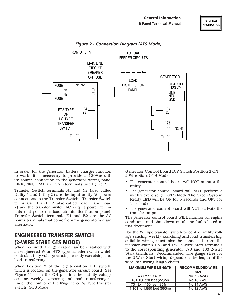

*Figure 2 - Connection Diagram (ATS Mode)*

In order for the generator battery charger function to work, it is necessary to provide a 120Vac utility source connection to the generator wiring panel LINE, NEUTRAL and GND terminals (see figure 2).

Transfer Switch terminals N1 and N2 (also called Utility 1 and Utility 2) are the input utility AC power connections to the Transfer Switch. Transfer Switch terminals T1 and T2 (also called Load 1 and Load 2) are the transfer switch AC output power terminals that go to the load circuit distribution panel. Transfer Switch terminals E1 and E2 are the AC power terminals that come from the generator's main alternator.

### **ENGINEERED TRANSFER SWITCH (2-WIRE START GTS MODE)**

When required, the generator can be installed with an engineered W or HTS type transfer switch which controls utility voltage sensing, weekly exercising and load transferring.

When Position 2 of the eight-position DIP switch, which is located on the generator circuit board (See Figure 1), is in the ON position then utility voltage sensing, weekly exercising and load transferring is under the control of the Engineered W Type transfer switch (GTS Mode).

Generator Control Board DIP Switch Position 2 ON = 2-Wire Start GTS Mode:

- The generator control board will NOT monitor the utility
- The generator control board will NOT perform a weekly exercise. (In GTS Mode The Green System Ready LED will be ON for 5 seconds and OFF for 1 second)
- The generator control board will NOT activate the transfer output

The generator control board WILL monitor all engine conditions and shut down on all the faults listed in this document.

For the W Type transfer switch to control utility voltage sensing, weekly exercising and load transferring, suitable wiring must also be connected from the transfer switch 178 and 183, 2-Wire Start terminals to the corresponding generator 178 and 183 2-Wire Start terminals. Recommended wire gauge sizes for the 2-Wire Start wiring depend on the length of the wire (see wiring length chart).

| <b>MAXIMUM WIRE LENGTH</b> | <b>RECOMMENDED WIRE</b><br><b>SIZE</b> |
|----------------------------|----------------------------------------|
| 460 feet (140M)            | No. 18 AWG.                            |
| 461 TO 730 feet (223M)     | No 16 AWG.                             |
| 731 to 1,160 feet (354m)   | No 14 AWG.                             |
| 1,161 to 1,850 feet (565m) | No 12 AWG.                             |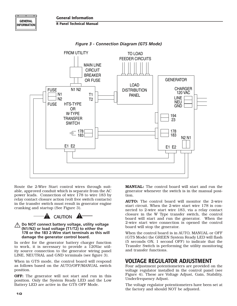



*Figure 3 - Connection Diagram (GTS Mode)*

Route the 2-Wire Start control wires through suitable, approved conduit which is separate from the AC power leads. Connection of wire 178 to wire 183 by relay contact closure action (volt free switch contacts) in the transfer switch must result in generator engine cranking and startup (See Figure 3).



#### **Do NOT connect battery voltage, utility voltage (N1/N2) or load voltage (T1/T2) to either the 178 or the 183 2-Wire start terminals as this will damage the generator control board.**

In order for the generator battery charger function to work, it is necessary to provide a 120Vac utility source connection to the generator wiring panel LINE, NEUTRAL and GND terminals (see figure 3).

When in GTS mode, the control board will respond as follows based on the AUTO/OFF/MANUAL switch position.

OFF: The generator will not start and run in this position. Only the System Ready LED and the Low Battery LED are active in the GTS OFF Mode.

MANUAL: The control board will start and run the generator whenever the switch is in the manual position.

AUTO: The control board will monitor the 2-wire start circuit. When the 2-wire start wire 178 is connected to 2-wire start wire 183, via a relay contact closure in the W Type transfer switch, the control board will start and run the generator. When the 2-wire start wire connection is opened the control board will stop the generator.

When the control board is in AUTO, MANUAL or OFF (GTS Mode) the GREEN System Ready LED will flash (5 seconds ON, 1 second OFF) to indicate that the Transfer Switch is performing the utility monitoring and transfer functions.

### **VOLTAGE REGULATOR ADJUSTMENT**

Four adjustment potentiometers are provided on the voltage regulator installed in the control panel (see Figure 4). These are Voltage Adjust, Gain, Stability, Underfrequency Adjust.

The voltage regulator potentiometers have been set at the factory and should NOT be adjusted.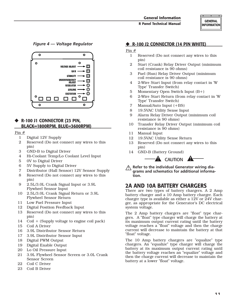#### *Figure 4 — Voltage Regulator*



#### **R-100 J1 CONNECTOR (23 PIN, BLACK=1800RPM, BLUE=3600RPM)**

#### Pin #

- 1 Digital 12V Supply
- 2 Reserved (Do not connect any wires to this pin)
- 3 GND-B to Digital Driver
- 4 Hi-Coolant Temp/Lo Coolant Level Input
- 5 0V to Digital Driver
- 6 5V Supply to Digital Driver
- 7 Distributor (Hall Sensor) 12V Sensor Supply
- 8 Reserved (Do not connect any wires to this pin)
- 9 2.5L/3.0L Crank Signal Input or 3.9L Flywheel Sensor Input
- 10 2.5L/3.0L Crank Signal Return or 3.9L Flywheel Sensor Return
- 11 Low Fuel Pressure Input
- 12 Digital Position Feedback Input
- 13 Reserved (Do not connect any wires to this pin)
- 14 Coil + (Supply voltage to engine coil pack)
- 15 Coil A Driver
- 16 3.9L Distributor Sensor Return
- 17 3.9L Distributor Sensor Input
- 18 Digital PWM Output
- 19 Digital Enable Output
- 20 Lo Oil Pressure Input
- 21 3.9L Flywheel Sensor Screen or 3.0L Crank Sensor Screen
- 22 Coil C Driver
- 23 Coil B Driver

#### **R-100 J2 CONNECTOR (14 PIN WHITE)**

#### Pin #

- 1 Reserved (Do not connect any wires to this pin)
- 2 Start (Crank) Relay Driver Output (minimum coil resistance is 90 ohms)
- 3 Fuel (Run) Relay Driver Output (minimum coil resistance is 90 ohms)
- 4 2-Wire Start Input (from relay contact in 'W Type' Transfer Switch)
- 5 Momentary Open Switch Input (B+)
- 6 2-Wire Start Return (from relay contact in 'W Type' Transfer Switch)
- 7 Manual/Auto Input (+BS)
- 8 19.5VAC Utility Sense Input
- 9 Alarm Relay Driver Output (minimum coil resistance is 90 ohms)
- 10 Transfer Relay Driver Output (minimum coil resistance is 90 ohms)
- 11 Manual Input
- 12 19.5VAC Utility Sense Return
- 13 Reserved (Do not connect any wires to this pin)
- 14 GND-B (Battery Ground)



 **Refer to the individual Generator wiring diagrams and schematics for additional information.**

### **2A AND 10A BATTERY CHARGERS**

There are two types of battery chargers. A 2 Amp battery charger and a 10 Amp battery charger. Each charger type is available as either a 12V or 24V charger, as appropriate for the Generator's DC electrical system voltage.

The 2 Amp battery chargers are "float" type chargers. A "float" type charger will charge the battery at its maximum output current rating until the battery voltage reaches a "float" voltage and then the charge current will decrease to maintain the battery at that "float" voltage.

The 10 Amp battery chargers are "equalize" type chargers. An "equalize" type charger will charge the battery at its maximum output current rating until the battery voltage reaches an "equalize" voltage and then the charge current will decrease to maintain the battery at a lower "float" voltage.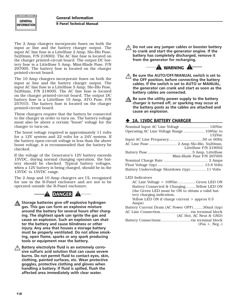**GENERAL INFORMATION** 

The 2 Amp chargers incorporate fuses on both the input ac line and the battery charger output. The input AC line fuse is a Littelfuse 2 Amp, Slo-Blo Fuse, 5x20mm, P/N 218002. The AC line fuse is located on the charger printed-circuit board. The output DC battery fuse is a Littelfuse 5 Amp, Mini-Blade Fuse, P/N 297005. The battery fuse is located on the charger printed-circuit board.

The 10 Amp chargers incorporate fuses on both the input ac line and the battery charger output. The input AC line fuse is a Littelfuse 5 Amp, Slo-Blo Fuse, 5x20mm, P/N 218005. The AC line fuse is located on the charger printed-circuit board. The output DC battery fuse is a Littelfuse 15 Amp, ATO Fuse, P/N 257015. The battery fuse is located on the charger printed-circuit board.

These chargers require that the battery be connected to the charger in order to turn on. The battery voltage must also be above a certain "boost" voltage for the charger to turn-on.

The boost voltage required is approximately 11 volts for a 12V system and 22 volts for a 24V system. If the battery open-circuit voltage is less than the above boost voltage, it is recommended that the battery be checked.

If the voltage of the Generator's 12V battery exceeds 15VDC, during normal charging operation, the battery should be checked. Typical battery voltages, when a 12V battery is being charged, should be in the 13VDC to 15VDC range.

The 2 Amp and 10 Amp chargers are UL recognized for use in the R-Panel enclosure and are not to be operated outside the R-Panel enclosure.



 **Storage batteries give off explosive hydrogen gas. This gas can form an explosive mixture around the battery for several hours after charging. The slightest spark can ignite the gas and cause an explosion. Such an explosion can shatter the battery and cause blindness or other injury. Any area that houses a storage battery must be properly ventilated. Do not allow smoking, open flame, sparks or any spark producing tools or equipment near the battery.**

 **Battery electrolyte fluid is an extremely corrosive sulfuric acid solution that can cause severe burns. Do not permit fluid to contact eyes, skin, clothing, painted surfaces, etc. Wear protective goggles, protective clothing and gloves when handling a battery. If fluid is spilled, flush the affected area immediately with clear water.**

 **Do not use any jumper cables or booster battery to crank and start the generator engine. If the battery has completely discharged, remove it from the generator for recharging.** 



- **Be sure the AUTO/OFF/MANUAL switch is set to the OFF position, before connecting the battery cables. If the switch is set to AUTO or MANUAL, the generator can crank and start as soon as the battery cables are connected.**
- **A** Be sure the utility power supply to the battery **charger is turned off, or sparking may occur at the battery posts as the cables are attached and cause an explosion.**

#### **2A, 12VDC BATTERY CHARGER**

| Nominal Input AC Line Voltage  120Vac        |                            |
|----------------------------------------------|----------------------------|
| Operating AC Line Voltage Range  108Vac to   |                            |
|                                              | 132Vac                     |
|                                              |                            |
|                                              | Littelfuse P/N 218002      |
|                                              | Mini-Blade Fuse P/N 297005 |
|                                              |                            |
|                                              |                            |
| Battery Undervoltage Shutdown (typ) 11 Volts |                            |
| <b>LED</b> Indicators                        |                            |

| AC Line Voltage > 108VacGreen LED ON             |
|--------------------------------------------------|
| Battery Connected & Charging Yellow LED ON       |
| (the Green LED must be ON to obtain a valid bat- |
| tery charging indication,                        |
| Yellow LED ON if charge current $>$ approx 0.5   |
| Amps)                                            |
| Battery Current Drain (AC Power OFF) 30mA (typ)  |

| Battery Current Drain (AC Power OFF)30mA (typ) |
|------------------------------------------------|
|                                                |
| (AC Hot. AC Neut & GND)                        |
|                                                |
| $(Pos +, Neg -)$                               |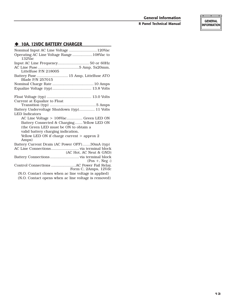**GENERAL INFORMATION** 

#### **10A, 12VDC BATTERY CHARGER**

| Nominal Input AC Line Voltage  120Vac                            |
|------------------------------------------------------------------|
| Operating AC Line Voltage Range 108Vac to<br>132Vac              |
| Input AC Line Frequency 50 or 60Hz                               |
| Littelfuse P/N 218005                                            |
| Battery Fuse  15 Amp, Littelfuse ATO Blade P/N 257015            |
|                                                                  |
|                                                                  |
|                                                                  |
| Current at Equalize to Float                                     |
| Battery Undervoltage Shutdown (typ) 11 Volts                     |
| <b>LED</b> Indicators                                            |
| AC Line Voltage > 108Vac Green LED ON                            |
| Battery Connected & Charging Yellow LED ON                       |
| (the Green LED must be ON to obtain a                            |
| valid battery charging indication,                               |
| Yellow LED ON if charge current $>$ approx 2<br>Amps)            |
| Battery Current Drain (AC Power OFF)30mA (typ)                   |
| (AC Hot, AC Neut & GND)                                          |
| $(Pos +, Neg -)$                                                 |
| Control Connections AC Power Fail Relay,<br>Form C, 2Amps, 12Vdc |
| (N.O. Contact closes when ac line voltage is applied)            |
| (N.O. Contact opens when ac line voltage is removed)             |